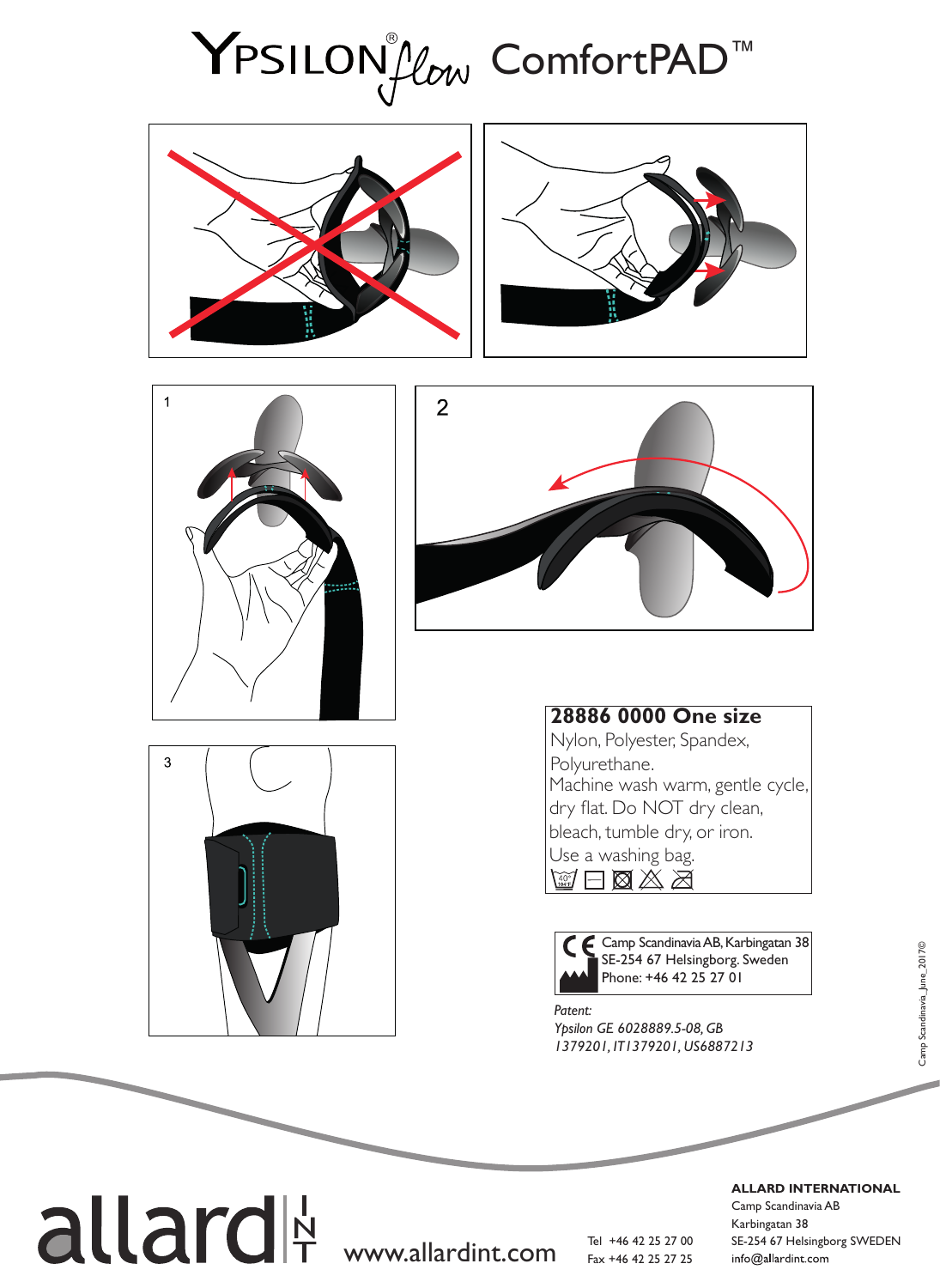## YPSILON*Low* ComfortPAD<sup>™</sup>











## **28886 0000 One size**

Nylon, Polyester, Spandex, Polyurethane. Machine wash warm, gentle cycle, dry flat. Do NOT dry clean, bleach, tumble dry, or iron. Use a washing bag.

 $\boxtimes$  a  $\boxtimes$  a



*Patent:*  SE-254 67 Helsingborg. Sweden Phone: +46 42 25 27 01

*Ypsilon GE 6028889.5-08, GB 1379201, IT1379201, US6887213*

**ALLARD INTERNATIONAL**

Camp Scandinavia AB Karbingatan 38 Tel +46 42 25 27 00 SE-254 67 Helsingborg SWEDEN info@allardint.com

allard<sup>|</sup> www.allardint.com

Fax +46 42 25 27 25